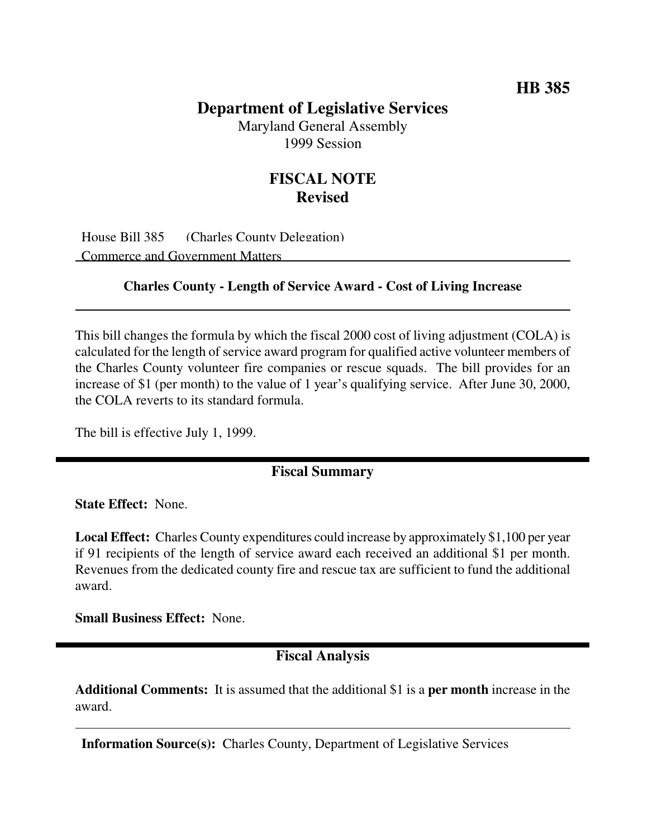## **Department of Legislative Services**

Maryland General Assembly 1999 Session

# **FISCAL NOTE Revised**

House Bill 385 (Charles County Delegation) Commerce and Government Matters

#### **Charles County - Length of Service Award - Cost of Living Increase**

This bill changes the formula by which the fiscal 2000 cost of living adjustment (COLA) is calculated for the length of service award program for qualified active volunteer members of the Charles County volunteer fire companies or rescue squads. The bill provides for an increase of \$1 (per month) to the value of 1 year's qualifying service. After June 30, 2000, the COLA reverts to its standard formula.

The bill is effective July 1, 1999.

#### **Fiscal Summary**

**State Effect:** None.

**Local Effect:** Charles County expenditures could increase by approximately \$1,100 per year if 91 recipients of the length of service award each received an additional \$1 per month. Revenues from the dedicated county fire and rescue tax are sufficient to fund the additional award.

**Small Business Effect:** None.

### **Fiscal Analysis**

**Additional Comments:** It is assumed that the additional \$1 is a **per month** increase in the award.

**Information Source(s):** Charles County, Department of Legislative Services